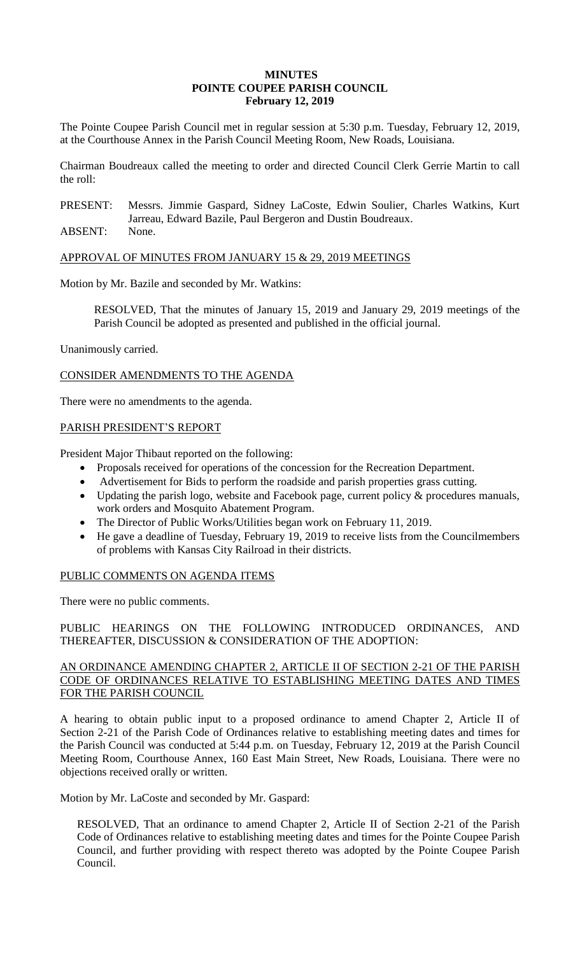### **MINUTES POINTE COUPEE PARISH COUNCIL February 12, 2019**

The Pointe Coupee Parish Council met in regular session at 5:30 p.m. Tuesday, February 12, 2019, at the Courthouse Annex in the Parish Council Meeting Room, New Roads, Louisiana.

Chairman Boudreaux called the meeting to order and directed Council Clerk Gerrie Martin to call the roll:

PRESENT: Messrs. Jimmie Gaspard, Sidney LaCoste, Edwin Soulier, Charles Watkins, Kurt Jarreau, Edward Bazile, Paul Bergeron and Dustin Boudreaux.

ABSENT: None.

APPROVAL OF MINUTES FROM JANUARY 15 & 29, 2019 MEETINGS

Motion by Mr. Bazile and seconded by Mr. Watkins:

RESOLVED, That the minutes of January 15, 2019 and January 29, 2019 meetings of the Parish Council be adopted as presented and published in the official journal.

Unanimously carried.

CONSIDER AMENDMENTS TO THE AGENDA

There were no amendments to the agenda.

# PARISH PRESIDENT'S REPORT

President Major Thibaut reported on the following:

- Proposals received for operations of the concession for the Recreation Department.
- Advertisement for Bids to perform the roadside and parish properties grass cutting.
- Updating the parish logo, website and Facebook page, current policy & procedures manuals, work orders and Mosquito Abatement Program.
- The Director of Public Works/Utilities began work on February 11, 2019.
- He gave a deadline of Tuesday, February 19, 2019 to receive lists from the Councilmembers of problems with Kansas City Railroad in their districts.

# PUBLIC COMMENTS ON AGENDA ITEMS

There were no public comments.

PUBLIC HEARINGS ON THE FOLLOWING INTRODUCED ORDINANCES, AND THEREAFTER, DISCUSSION & CONSIDERATION OF THE ADOPTION:

### AN ORDINANCE AMENDING CHAPTER 2, ARTICLE II OF SECTION 2-21 OF THE PARISH CODE OF ORDINANCES RELATIVE TO ESTABLISHING MEETING DATES AND TIMES FOR THE PARISH COUNCIL

A hearing to obtain public input to a proposed ordinance to amend Chapter 2, Article II of Section 2-21 of the Parish Code of Ordinances relative to establishing meeting dates and times for the Parish Council was conducted at 5:44 p.m. on Tuesday, February 12, 2019 at the Parish Council Meeting Room, Courthouse Annex, 160 East Main Street, New Roads, Louisiana. There were no objections received orally or written.

Motion by Mr. LaCoste and seconded by Mr. Gaspard:

RESOLVED, That an ordinance to amend Chapter 2, Article II of Section 2-21 of the Parish Code of Ordinances relative to establishing meeting dates and times for the Pointe Coupee Parish Council, and further providing with respect thereto was adopted by the Pointe Coupee Parish Council.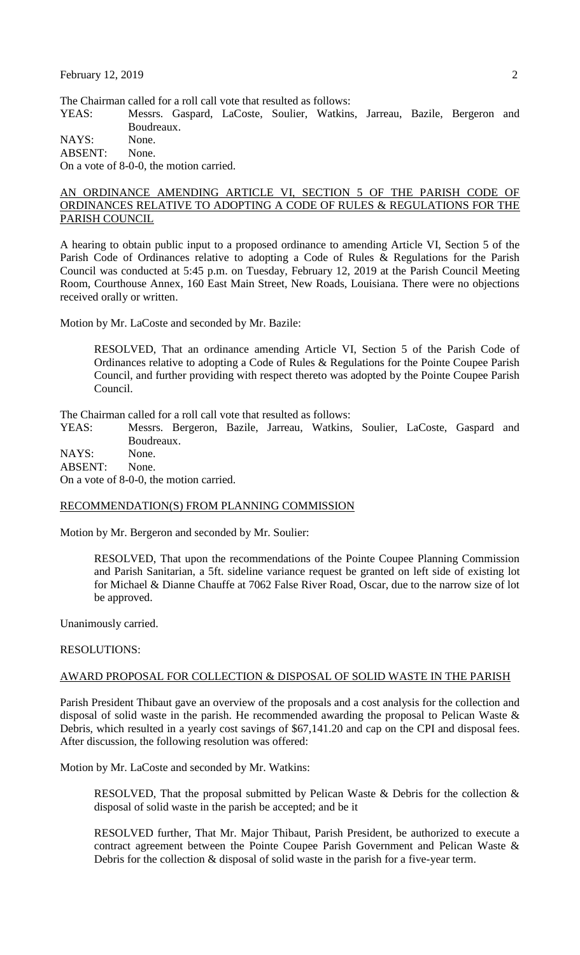The Chairman called for a roll call vote that resulted as follows:

YEAS: Messrs. Gaspard, LaCoste, Soulier, Watkins, Jarreau, Bazile, Bergeron and Boudreaux.

NAYS: None.

ABSENT: None.

On a vote of 8-0-0, the motion carried.

### AN ORDINANCE AMENDING ARTICLE VI, SECTION 5 OF THE PARISH CODE OF ORDINANCES RELATIVE TO ADOPTING A CODE OF RULES & REGULATIONS FOR THE PARISH COUNCIL

A hearing to obtain public input to a proposed ordinance to amending Article VI, Section 5 of the Parish Code of Ordinances relative to adopting a Code of Rules & Regulations for the Parish Council was conducted at 5:45 p.m. on Tuesday, February 12, 2019 at the Parish Council Meeting Room, Courthouse Annex, 160 East Main Street, New Roads, Louisiana. There were no objections received orally or written.

Motion by Mr. LaCoste and seconded by Mr. Bazile:

RESOLVED, That an ordinance amending Article VI, Section 5 of the Parish Code of Ordinances relative to adopting a Code of Rules & Regulations for the Pointe Coupee Parish Council, and further providing with respect thereto was adopted by the Pointe Coupee Parish Council.

The Chairman called for a roll call vote that resulted as follows:

YEAS: Messrs. Bergeron, Bazile, Jarreau, Watkins, Soulier, LaCoste, Gaspard and Boudreaux.

NAYS: None.

ABSENT: None.

On a vote of 8-0-0, the motion carried.

#### RECOMMENDATION(S) FROM PLANNING COMMISSION

Motion by Mr. Bergeron and seconded by Mr. Soulier:

RESOLVED, That upon the recommendations of the Pointe Coupee Planning Commission and Parish Sanitarian, a 5ft. sideline variance request be granted on left side of existing lot for Michael & Dianne Chauffe at 7062 False River Road, Oscar, due to the narrow size of lot be approved.

Unanimously carried.

#### RESOLUTIONS:

#### AWARD PROPOSAL FOR COLLECTION & DISPOSAL OF SOLID WASTE IN THE PARISH

Parish President Thibaut gave an overview of the proposals and a cost analysis for the collection and disposal of solid waste in the parish. He recommended awarding the proposal to Pelican Waste & Debris, which resulted in a yearly cost savings of \$67,141.20 and cap on the CPI and disposal fees. After discussion, the following resolution was offered:

Motion by Mr. LaCoste and seconded by Mr. Watkins:

RESOLVED, That the proposal submitted by Pelican Waste & Debris for the collection & disposal of solid waste in the parish be accepted; and be it

RESOLVED further, That Mr. Major Thibaut, Parish President, be authorized to execute a contract agreement between the Pointe Coupee Parish Government and Pelican Waste & Debris for the collection & disposal of solid waste in the parish for a five-year term.